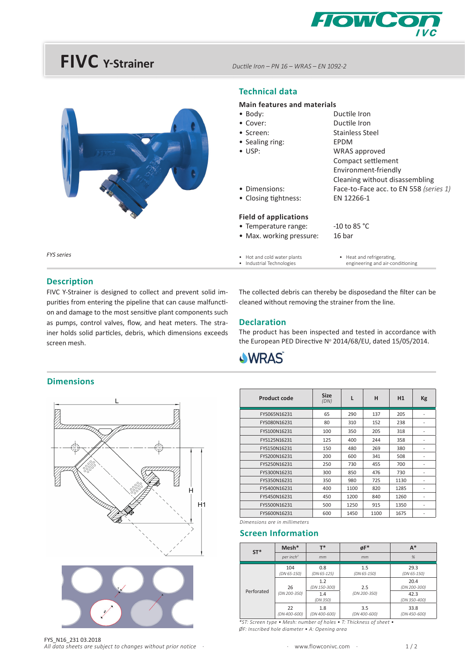

## **FIVC** Y-Strainer



*DucƟ le Iron – PN 16 – WRAS – EN 1092-2*

### **Technical data**

#### **Main features and materials**

| • Body:                      | Ductile Iron                           |
|------------------------------|----------------------------------------|
| $\bullet$ Cover:             | Ductile Iron                           |
| • Screen:                    | Stainless Steel                        |
| • Sealing ring:              | EPDM                                   |
| $\bullet$ USP:               | WRAS approved                          |
|                              | Compact settlement                     |
|                              | Environment-friendly                   |
|                              | Cleaning without disassembling         |
| • Dimensions:                | Face-to-Face acc. to EN 558 (series 1) |
| • Closing tightness:         | EN 12266-1                             |
| <b>Field of applications</b> |                                        |
| • Temperature range:         | $-10$ to 85 °C                         |
| • Max. working pressure:     | 16 bar                                 |
| • Hot and cold water plants  | • Heat and refrigerating,              |

• Industrial Technologies

• Heat and refrigerating, engineering and air-conditioning

*FYS series*

#### **Description**

FIVC Y-Strainer is designed to collect and prevent solid impurities from entering the pipeline that can cause malfunction and damage to the most sensitive plant components such as pumps, control valves, flow, and heat meters. The strainer holds solid particles, debris, which dimensions exceeds screen mesh.

#### The collected debris can thereby be disposedand the filter can be cleaned without removing the strainer from the line.

#### **Declaration**

The product has been inspected and tested in accordance with the European PED Directive N° 2014/68/EU, dated 15/05/2014.



#### **Dimensions**



| <b>Product code</b> | <b>Size</b><br>(DN) | L    | н    | H1   | Kg                       |
|---------------------|---------------------|------|------|------|--------------------------|
| FYS065N16231        | 65                  | 290  | 137  | 205  |                          |
| FYS080N16231        | 80                  | 310  | 152  | 238  |                          |
| FYS100N16231        | 100                 | 350  | 205  | 318  |                          |
| FYS125N16231        | 125                 | 400  | 244  | 358  | $\overline{a}$           |
| FYS150N16231        | 150                 | 480  | 269  | 380  | $\overline{a}$           |
| FYS200N16231        | 200                 | 600  | 341  | 508  |                          |
| FYS250N16231        | 250                 | 730  | 455  | 700  |                          |
| FYS300N16231        | 300                 | 850  | 476  | 730  | $\overline{\phantom{a}}$ |
| FYS350N16231        | 350                 | 980  | 725  | 1130 |                          |
| FYS400N16231        | 400                 | 1100 | 820  | 1285 | ۰                        |
| FYS450N16231        | 450                 | 1200 | 840  | 1260 |                          |
| FYS500N16231        | 500                 | 1250 | 915  | 1350 |                          |
| FYS600N16231        | 600                 | 1450 | 1100 | 1675 |                          |

*Dimensions are in millimeters* 

## **Screen Information**

| $ST^*$     | $Mesh*$               | т*                  | $\phi$ F*           | $A^*$                |
|------------|-----------------------|---------------------|---------------------|----------------------|
|            | per inch <sup>2</sup> | mm                  | mm                  | %                    |
| Perforated | 104<br>(DN 65-150)    | 0.8<br>(DN 65-125)  | 1.5<br>(DN 65-150)  | 29.3<br>(DN 65-150)  |
|            | 26<br>(DN 200-350)    | 1.2<br>(DN 150-300) | 2.5                 | 20.4<br>(DN 200-300) |
|            |                       | 1.4<br>(DN 350)     | (DN 200-350)        | 42.3<br>(DN 350-400) |
|            | 22<br>(DN 400-600)    | 1.8<br>(DN 400-600) | 3.5<br>(DN 400-600) | 33.8<br>(DN 450-600) |

*\*ST: Screen type • Mesh: number of holes • T: Thickness of sheet • ØF: Inscribed hole diameter • A: Opening area*